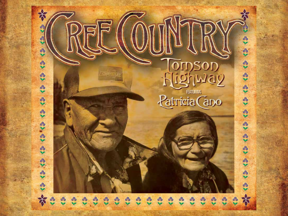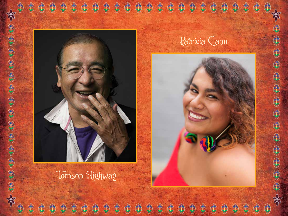



Tomson Highway

 $\bigoplus$ 

ŧ

€

\$

6

\$

 $\bigoplus$ 

\$

## Patricia Cano

\$

\$

\$

\$



 $\bigoplus$ 

 $\bigoplus$ 

 $\bigcirc$ 

 $\bigcirc$ 

\$

\$

 $\bigoplus$ 

 $\bigcirc$ 

 $\bigcirc$ 

¢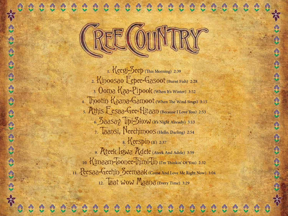

1. Keegi-Seep (This Morning) 2:39 2. Kinoosao Eepee-Gasoot (Burnt Fish) 2:28 3. Ooma Kaa-Pipook (When It's Winter) 3:52 4. Thootin Kaana-Gamoot (When The Wind Sings) 3:15 5. Athis Eesaa-Gee-Hitaan (Because I Love You) 2:53 6. Saasay Tipi-Skow (It's Night Already) 3:13 7. Taansi, Neechimoos (Hello, Darling) 2:54 8. **Keespin** (If) 2:37 9. Ateek Igwa Adele (Ateek And Adele) 3:59 10. Kimaam-Toonee-Thimi-Tin (I'm Thinkin' Of You) 2:32 11. Peesaa-Geehin Seemaak (Come And Love Me Right Now) 3:04 12. Taat wow Maana (Every Time) 3:29

H

£

中国 第

 $\bigoplus$ 

为电电路分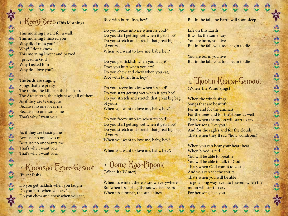### 1. Keegi-Seep (This Morning)

PIS

 $\frac{3}{2}$ 

 $\mathcal{C}_0$ 

 $\mathcal{E}_{\mathbf{S}}$ 

 $\alpha$ 

 $\frac{1}{2}$ 

 $a^2$ 

 $\mathbf{a}$ 

 $\mathcal{B}_n$ 

 $\ddot{\cdot}$ 

 $\mathcal{A}_{\mathbf{S}}$ 

 $\frac{a}{b}$ 

This morning I went for a walk This morning I missed you Why did I miss you? Why? I don't know This morning I went and prayed I prayed to God Why I asked him Why do I love you?

The birds are singing Songs that are pretty The robin, the killdeer, the blackbird The Arctic tern, the nighthawk, all of them. As if they are teasing me Because no one loves me Because no one wants me That's why I want you.

As if they are teasing me Because no one loves me Because no one wants me That's why I want you That's why I want you.

#### 2. Kinoosao Eepee-Gasoot (Burnt Fish)

Do you get ticklish when you laugh? Do you hurt when you cry? Do you chew and chew when you eat, Rice with burnt fish, hey?

Do you freeze into ice when it's cold? Do you start getting wet when it gets hot? Do you stretch and stretch that great big bag of yours When you want to love me, baby, hey?

Do you get ticklish when you laugh? Does you hurt when you cry? Do you chew and chew when you eat, Rice with burnt fish, hey?

Do you freeze into ice when it's cold? Do you start getting wet when it gets hot? Do you stretch and stretch that great big bag of yours When you want to love me, baby, hey?

Do you freeze into ice when it's cold? Do you start getting wet when it gets hot? Do you stretch and stretch that great big bag of yours When you want to love me, baby, hey?

When you want to love me, baby, hey?.

 3. Ooma Kaa-Pipook (When It's Winter)

When it's winter, there is snow everywhere But when it's spring, the snow disappears When it's summer, the sun shines

But in the fall, the Earth will soon sleep.

Life on this Earth It works the same way You are born, you live But in the fall, you, too, begin to die.

You are born, you live But in the fall, you, too, begin to die

# 4. Thootin Kaana-Gamoot

(When The Wind Sings)

When the winds sings Songs that are beautiful For us and for the animals For the trees and for the stones as well That's when the moon will start to cry For her sons, like you And for the eagles and for the clouds That's when they'll say, "how wondrous."

When you can hear your heart beat When blood is red You will be able to breathe You will be able to talk to God That's when God comes to you And you can see the spirits That's when you will be able To go a long way, even to heaven. when the moon will start to cry For her sons, like you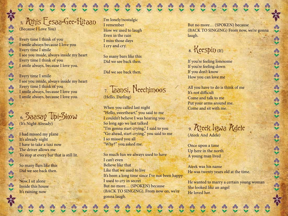5. Athis Eesaa-Gee-Hitaan (Because I Love You)

Every time I think of you I smile always because I love you Every time I smile I see you inside, always inside my heart Every time I think of you I smile always, because I love you.

 $\frac{1}{2}$ 

 $\mathcal{A}_0$ 

 $2<sup>o</sup>$ 

ஃ

టి

 $\frac{1}{2}$ 

\$

 $\frac{3}{2}$ 

 $\frac{d}{d}$ 

 $\overline{\mathbf{a}}$ 

X&X

 $\mathbf{c}$ 

Every time I smile I see you inside, always inside my heart Every time I think of you I smile always, because I love you I smile always, because I love you.

 6. Saasay Tipi-Skow (It's Night Already)

I had missed my plane It's already night I have to take a taxi now The driver allows me To stop at every bar that is still lit.

So many bars like this Did we see back then.

Now I sit alone Inside this house It's raining now

I'm lonely/nostalgic I remember How we used to laugh Even in the rain I miss those days I cry and cry.

So many bars like this Did we see back then.

Did we see back then.

 7. Taansi, Neechimoos (Hello, Darling)

When you called last night "Hello, sweetheart," you said to me I couldn't believe I was hearing you So long ago we last talked "I'm gonna start crying," I said to you "Go ahead, start crying," you said to me I so missed you all "Why?" you asked me.

So much fun we always used to have I can't even Believe like that Like that we used to live It's been a long time since I've not been happy I used to cry in secret But no more… (SPOKEN) because (BACK TO SINGING). From now on, we're gonna laugh.

But no more… (SPOKEN) because (BACK TO SINGING) From now, we're gonna laugh.

## $8.$  Keespin  $(H)$

If you're feeling lonesome If you're feeling down If you don't know How you can love me

All you have to do is think of me It's not difficult Come and talk to me Put your arms around me. Come and sit with me.

 9. Ateek Igwa Adele (Ateek And Adele)

Once upon a time Up here in the north A young man lived

Ateek was his name He was twenty years old at the time.

He wanted to marry a certain young woman She looked like an angel He loved her.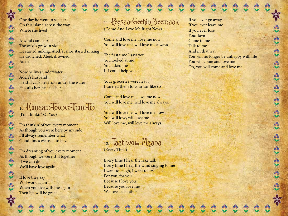One day he went to see her On this island across the way Where she lived

 $\frac{1}{2}$ 

 $\frac{d}{2}$ 

 $\partial b$ 

 $\epsilon$ 

**M** 

 $\mathcal{A}_{\mathbf{S}}$ 

ஃ  $\star$ 

\$

 $\frac{a}{x}$ 

 $\mathbf{a}$ 

 $\mathcal{C}_{0}$ 

A wind came up The waves grew in size He started sinking, Ateek's canoe started sinking He drowned. Ateek drowned. Adele!

Now he lives underwater Adele's husband He still calls her from under the water He calls her, he calls her.

10. Kimaam-Toonee-Thimi-Tin (I'm Thinkin' Of You)

I'm thinkin' of you every moment As though you were here by my side I'll always remember what Good times we used to have

I'm dreaming of you every moment As though we were still together If we can do it We'll have love again.

If love they say Will work again When you live with me again Then life will be great.

11. Peesaa-Geehin Seemaak (Come And Love Me Right Now)

Come and love me, love me now You will love me, will love me always

The first time I saw you You looked at me You asked me If I could help you.

Your groceries were heavy I carried them to your car like so

Come and love me, love me now You will love me, will love me always.

You will love me, will love me now You will love, will love me Will love me, will love me always.



(Every Time)

Every time I hear the lake talk Every time I hear the wind singing to me I want to laugh, I want to cry For you, for you Because I love you Because you love me We love each other.

If you ever go away If you ever leave me If you ever lose Your love Come to me Talk to me And in that way You will no longer be unhappy with life You will come and love me Oh, you will come and love me.

 $\frac{d}{d}$ 

 $\frac{d}{2}$ 

 $43.43.48$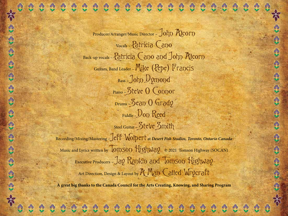Producer/Arranger/Music Director – JOhn RICOFD Vocals – Patricia Cano Back-up vocals - Patricia Cano and John RIcorn Guitars, Band Leader - Mike (Pepe) Francis  $Bass - Johp$  Dymond Piano – Steve O Connor Drums – Sean O Grady  $F_{\text{iriddle}}$  –  $D_{\text{OD}}$  Reed Steel Guitar - Steve Smith

かまくま

Recording/Mixing/Mastering –Jeff Wolpert at *Desert Fish Studios, Toronto, Ontario Canada* Music and Lyrics written by **TOMSON** Highway © 2021 Tomson Highway (SOCAN) Executive Producers - Jay Rankin and Tomson Highway Art Direction, Design & Layout by R Man Called Wrycraft

**A great big thanks to the Canada Council for the Arts Creating, Knowing, and Sharing Program**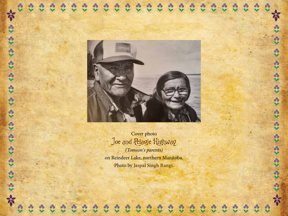



#### Cover photo Joe and Pelagie Highway

*(Tomson's parents)* on Reindeer Lake, northern Manitoba. Photo by **Jaspal Singh Rangi.**

 $\mathbf{c}$